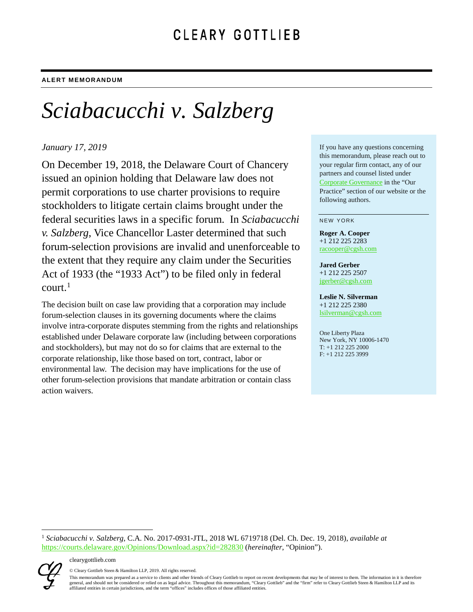# *Sciabacucchi v. Salzberg*

## *January 17, 2019*

On December 19, 2018, the Delaware Court of Chancery issued an opinion holding that Delaware law does not permit corporations to use charter provisions to require stockholders to litigate certain claims brought under the federal securities laws in a specific forum. In *Sciabacucchi v. Salzberg*, Vice Chancellor Laster determined that such forum-selection provisions are invalid and unenforceable to the extent that they require any claim under the Securities Act of 1933 (the "1933 Act") to be filed only in federal  $court.<sup>1</sup>$  $court.<sup>1</sup>$  $court.<sup>1</sup>$ 

The decision built on case law providing that a corporation may include forum-selection clauses in its governing documents where the claims involve intra-corporate disputes stemming from the rights and relationships established under Delaware corporate law (including between corporations and stockholders), but may not do so for claims that are external to the corporate relationship, like those based on tort, contract, labor or environmental law. The decision may have implications for the use of other forum-selection provisions that mandate arbitration or contain class action waivers.

If you have any questions concerning this memorandum, please reach out to your regular firm contact, any of our partners and counsel listed under [Corporate Governance](https://www.clearygottlieb.com/practice-landing/corporate-governance) in the "Our Practice" section of our website or the following authors.

#### NEW YORK

**Roger A. Cooper**  +1 212 225 2283 [racooper@cgsh.com](mailto:racooper@cgsh.com)

#### **Jared Gerber**

+1 212 225 2507 [jgerber@cgsh.com](mailto:jgerber@cgsh.com)

**Leslie N. Silverman**  +1 212 225 2380 [lsilverman@cgsh.com](mailto:lsilverman@cgsh.com)

One Liberty Plaza New York, NY 10006-1470 T: +1 212 225 2000 F: +1 212 225 3999

<span id="page-0-0"></span> 1 *Sciabacucchi v. Salzberg*, C.A. No. 2017-0931-JTL, 2018 WL 6719718 (Del. Ch. Dec. 19, 2018), *available at* <https://courts.delaware.gov/Opinions/Download.aspx?id=282830> (*hereinafter*, "Opinion").



© Cleary Gottlieb Steen & Hamilton LLP, 2019. All rights reserved.

This memorandum was prepared as a service to clients and other friends of Cleary Gottlieb to report on recent developments that may be of interest to them. The information in it is therefore general, and should not be considered or relied on as legal advice. Throughout this memorandum, "Cleary Gottlieb" and the "firm" refer to Cleary Gottlieb Steen & Hamilton LLP and its affiliated entities in certain jurisdictions, and the term "offices" includes offices of those affiliated entities.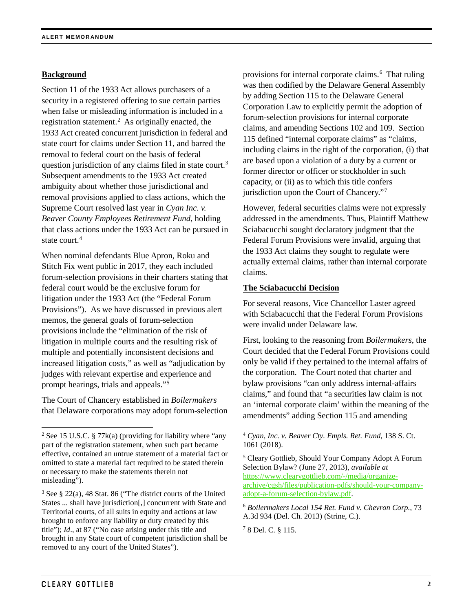## **Background**

Section 11 of the 1933 Act allows purchasers of a security in a registered offering to sue certain parties when false or misleading information is included in a registration statement.<sup>[2](#page-1-0)</sup> As originally enacted, the 1933 Act created concurrent jurisdiction in federal and state court for claims under Section 11, and barred the removal to federal court on the basis of federal question jurisdiction of any claims filed in state court.<sup>[3](#page-1-1)</sup> Subsequent amendments to the 1933 Act created ambiguity about whether those jurisdictional and removal provisions applied to class actions, which the Supreme Court resolved last year in *Cyan Inc. v. Beaver County Employees Retirement Fund*, holding that class actions under the 1933 Act can be pursued in state court.<sup>[4](#page-1-0)</sup>

When nominal defendants Blue Apron, Roku and Stitch Fix went public in 2017, they each included forum-selection provisions in their charters stating that federal court would be the exclusive forum for litigation under the 1933 Act (the "Federal Forum Provisions"). As we have discussed in previous alert memos, the general goals of forum-selection provisions include the "elimination of the risk of litigation in multiple courts and the resulting risk of multiple and potentially inconsistent decisions and increased litigation costs," as well as "adjudication by judges with relevant expertise and experience and prompt hearings, trials and appeals."[5](#page-1-2)

The Court of Chancery established in *Boilermakers* that Delaware corporations may adopt forum-selection

provisions for internal corporate claims.<sup>[6](#page-1-3)</sup> That ruling was then codified by the Delaware General Assembly by adding Section 115 to the Delaware General Corporation Law to explicitly permit the adoption of forum-selection provisions for internal corporate claims, and amending Sections 102 and 109. Section 115 defined "internal corporate claims" as "claims, including claims in the right of the corporation, (i) that are based upon a violation of a duty by a current or former director or officer or stockholder in such capacity, or (ii) as to which this title confers jurisdiction upon the Court of Chancery."[7](#page-1-4)

However, federal securities claims were not expressly addressed in the amendments. Thus, Plaintiff Matthew Sciabacucchi sought declaratory judgment that the Federal Forum Provisions were invalid, arguing that the 1933 Act claims they sought to regulate were actually external claims, rather than internal corporate claims.

#### **The Sciabacucchi Decision**

For several reasons, Vice Chancellor Laster agreed with Sciabacucchi that the Federal Forum Provisions were invalid under Delaware law.

First, looking to the reasoning from *Boilermakers*, the Court decided that the Federal Forum Provisions could only be valid if they pertained to the internal affairs of the corporation. The Court noted that charter and bylaw provisions "can only address internal-affairs claims," and found that "a securities law claim is not an 'internal corporate claim' within the meaning of the amendments" adding Section 115 and amending

<sup>7</sup> 8 Del. C. § 115.

<span id="page-1-2"></span><span id="page-1-0"></span><sup>&</sup>lt;sup>2</sup> See 15 U.S.C. § 77 $k(a)$  (providing for liability where "any part of the registration statement, when such part became effective, contained an untrue statement of a material fact or omitted to state a material fact required to be stated therein or necessary to make the statements therein not misleading").

<span id="page-1-4"></span><span id="page-1-3"></span><span id="page-1-1"></span><sup>3</sup> See § 22(a), 48 Stat. 86 ("The district courts of the United States ... shall have jurisdiction[,] concurrent with State and Territorial courts, of all suits in equity and actions at law brought to enforce any liability or duty created by this title"); *Id*., at 87 ("No case arising under this title and brought in any State court of competent jurisdiction shall be removed to any court of the United States").

<sup>4</sup> *Cyan, Inc. v. Beaver Cty. Empls. Ret. Fund*, 138 S. Ct. 1061 (2018).

<sup>5</sup> Cleary Gottlieb, Should Your Company Adopt A Forum Selection Bylaw? (June 27, 2013), *available at* [https://www.clearygottlieb.com/-/media/organize](https://www.clearygottlieb.com/-/media/organize-archive/cgsh/files/publication-pdfs/should-your-company-adopt-a-forum-selection-bylaw.pdf)[archive/cgsh/files/publication-pdfs/should-your-company](https://www.clearygottlieb.com/-/media/organize-archive/cgsh/files/publication-pdfs/should-your-company-adopt-a-forum-selection-bylaw.pdf)[adopt-a-forum-selection-bylaw.pdf.](https://www.clearygottlieb.com/-/media/organize-archive/cgsh/files/publication-pdfs/should-your-company-adopt-a-forum-selection-bylaw.pdf)

<sup>6</sup> *Boilermakers Local 154 Ret. Fund v. Chevron Corp.*, 73 A.3d 934 (Del. Ch. 2013) (Strine, C.).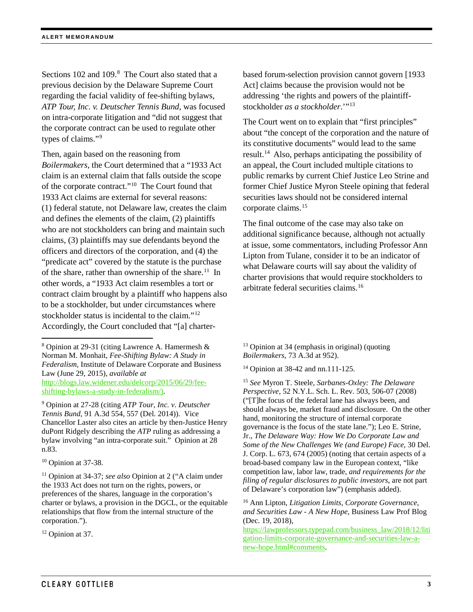Sections 102 and 109.<sup>[8](#page-2-0)</sup> The Court also stated that a previous decision by the Delaware Supreme Court regarding the facial validity of fee-shifting bylaws, *ATP Tour, Inc. v. Deutscher Tennis Bund*, was focused on intra-corporate litigation and "did not suggest that the corporate contract can be used to regulate other types of claims."<sup>[9](#page-2-1)</sup>

Then, again based on the reasoning from *Boilermakers*, the Court determined that a "1933 Act claim is an external claim that falls outside the scope of the corporate contract."[10](#page-2-2) The Court found that 1933 Act claims are external for several reasons: (1) federal statute, not Delaware law, creates the claim and defines the elements of the claim, (2) plaintiffs who are not stockholders can bring and maintain such claims, (3) plaintiffs may sue defendants beyond the officers and directors of the corporation, and (4) the "predicate act" covered by the statute is the purchase of the share, rather than ownership of the share.<sup>[11](#page-2-3)</sup> In other words, a "1933 Act claim resembles a tort or contract claim brought by a plaintiff who happens also to be a stockholder, but under circumstances where stockholder status is incidental to the claim."<sup>[12](#page-2-4)</sup> Accordingly, the Court concluded that "[a] charter-

<span id="page-2-6"></span><span id="page-2-1"></span><sup>9</sup> Opinion at 27-28 (citing *ATP Tour, Inc. v. Deutscher Tennis Bund*, 91 A.3d 554, 557 (Del. 2014)). Vice Chancellor Laster also cites an article by then-Justice Henry duPont Ridgely describing the *ATP* ruling as addressing a bylaw involving "an intra-corporate suit." Opinion at 28 n.83.

<span id="page-2-2"></span><sup>10</sup> Opinion at 37-38.

<span id="page-2-7"></span><span id="page-2-3"></span><sup>11</sup> Opinion at 34-37; *see also* Opinion at 2 ("A claim under the 1933 Act does not turn on the rights, powers, or preferences of the shares, language in the corporation's charter or bylaws, a provision in the DGCL, or the equitable relationships that flow from the internal structure of the corporation.").

<span id="page-2-4"></span><sup>12</sup> Opinion at 37.

based forum-selection provision cannot govern [1933 Act] claims because the provision would not be addressing 'the rights and powers of the plaintiffstockholder *as a stockholder*."<sup>[13](#page-2-0)</sup>

The Court went on to explain that "first principles" about "the concept of the corporation and the nature of its constitutive documents" would lead to the same result[.14](#page-2-5) Also, perhaps anticipating the possibility of an appeal, the Court included multiple citations to public remarks by current Chief Justice Leo Strine and former Chief Justice Myron Steele opining that federal securities laws should not be considered internal corporate claims.<sup>[15](#page-2-6)</sup>

The final outcome of the case may also take on additional significance because, although not actually at issue, some commentators, including Professor Ann Lipton from Tulane, consider it to be an indicator of what Delaware courts will say about the validity of charter provisions that would require stockholders to arbitrate federal securities claims. [16](#page-2-7) 

<sup>13</sup> Opinion at 34 (emphasis in original) (quoting *Boilermakers*, 73 A.3d at 952).

<sup>14</sup> Opinion at 38-42 and nn.111-125.

<sup>15</sup> *See* Myron T. Steele, *Sarbanes-Oxley: The Delaware Perspective*, 52 N.Y.L. Sch. L. Rev. 503, 506-07 (2008) ("[T]he focus of the federal lane has always been, and should always be, market fraud and disclosure. On the other hand, monitoring the structure of internal corporate governance is the focus of the state lane."); Leo E. Strine, Jr., *The Delaware Way: How We Do Corporate Law and Some of the New Challenges We (and Europe) Face*, 30 Del. J. Corp. L. 673, 674 (2005) (noting that certain aspects of a broad-based company law in the European context, "like competition law, labor law, trade, *and requirements for the filing of regular disclosures to public investors*, are not part of Delaware's corporation law") (emphasis added).

<span id="page-2-5"></span><span id="page-2-0"></span> <sup>8</sup> Opinion at 29-31 (citing Lawrence A. Hamermesh & Norman M. Monhait, *Fee-Shifting Bylaw: A Study in Federalism*, Institute of Delaware Corporate and Business Law (June 29, 2015), *available at* [http://blogs.law.widener.edu/delcorp/2015/06/29/fee](http://blogs.law.widener.edu/delcorp/2015/06/29/fee-shifting-bylaws-a-study-in-federalism/))[shifting-bylaws-a-study-in-federalism/\).](http://blogs.law.widener.edu/delcorp/2015/06/29/fee-shifting-bylaws-a-study-in-federalism/))

<sup>16</sup> Ann Lipton, *Litigation Limits, Corporate Governance, and Securities Law - A New Hope*, Business Law Prof Blog (Dec. 19, 2018),

[https://lawprofessors.typepad.com/business\\_law/2018/12/liti](https://lawprofessors.typepad.com/business_law/2018/12/litigation-limits-corporate-governance-and-securities-law-a-new-hope.html%23comments) [gation-limits-corporate-governance-and-securities-law-a](https://lawprofessors.typepad.com/business_law/2018/12/litigation-limits-corporate-governance-and-securities-law-a-new-hope.html%23comments)[new-hope.html#comments.](https://lawprofessors.typepad.com/business_law/2018/12/litigation-limits-corporate-governance-and-securities-law-a-new-hope.html%23comments)